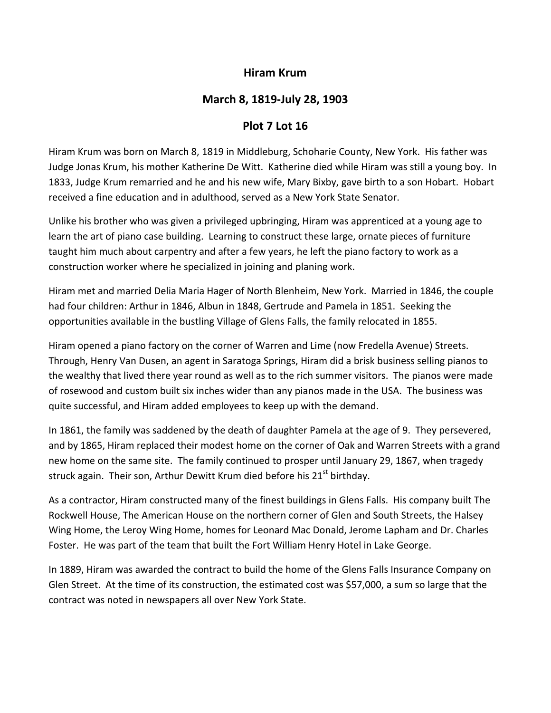## **Hiram Krum**

## **March 8, 1819‐July 28, 1903**

## **Plot 7 Lot 16**

Hiram Krum was born on March 8, 1819 in Middleburg, Schoharie County, New York. His father was Judge Jonas Krum, his mother Katherine De Witt. Katherine died while Hiram was still a young boy. In 1833, Judge Krum remarried and he and his new wife, Mary Bixby, gave birth to a son Hobart. Hobart received a fine education and in adulthood, served as a New York State Senator.

Unlike his brother who was given a privileged upbringing, Hiram was apprenticed at a young age to learn the art of piano case building. Learning to construct these large, ornate pieces of furniture taught him much about carpentry and after a few years, he left the piano factory to work as a construction worker where he specialized in joining and planing work.

Hiram met and married Delia Maria Hager of North Blenheim, New York. Married in 1846, the couple had four children: Arthur in 1846, Albun in 1848, Gertrude and Pamela in 1851. Seeking the opportunities available in the bustling Village of Glens Falls, the family relocated in 1855.

Hiram opened a piano factory on the corner of Warren and Lime (now Fredella Avenue) Streets. Through, Henry Van Dusen, an agent in Saratoga Springs, Hiram did a brisk business selling pianos to the wealthy that lived there year round as well as to the rich summer visitors. The pianos were made of rosewood and custom built six inches wider than any pianos made in the USA. The business was quite successful, and Hiram added employees to keep up with the demand.

In 1861, the family was saddened by the death of daughter Pamela at the age of 9. They persevered, and by 1865, Hiram replaced their modest home on the corner of Oak and Warren Streets with a grand new home on the same site. The family continued to prosper until January 29, 1867, when tragedy struck again. Their son, Arthur Dewitt Krum died before his 21<sup>st</sup> birthdav.

As a contractor, Hiram constructed many of the finest buildings in Glens Falls. His company built The Rockwell House, The American House on the northern corner of Glen and South Streets, the Halsey Wing Home, the Leroy Wing Home, homes for Leonard Mac Donald, Jerome Lapham and Dr. Charles Foster. He was part of the team that built the Fort William Henry Hotel in Lake George.

In 1889, Hiram was awarded the contract to build the home of the Glens Falls Insurance Company on Glen Street. At the time of its construction, the estimated cost was \$57,000, a sum so large that the contract was noted in newspapers all over New York State.